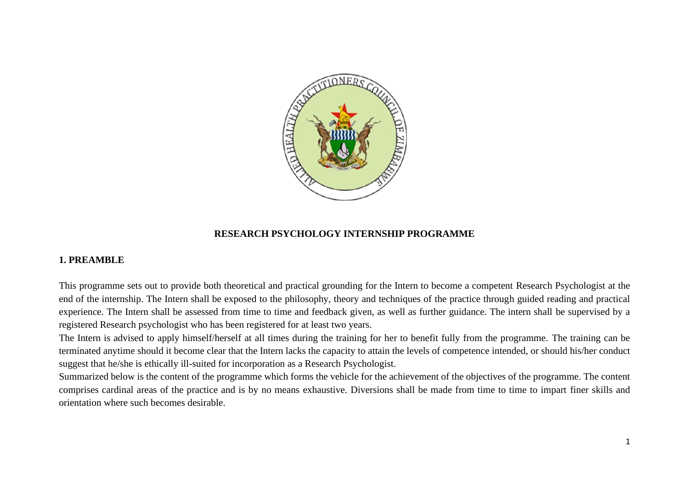

### **RESEARCH PSYCHOLOGY INTERNSHIP PROGRAMME**

### **1. PREAMBLE**

This programme sets out to provide both theoretical and practical grounding for the Intern to become a competent Research Psychologist at the end of the internship. The Intern shall be exposed to the philosophy, theory and techniques of the practice through guided reading and practical experience. The Intern shall be assessed from time to time and feedback given, as well as further guidance. The intern shall be supervised by a registered Research psychologist who has been registered for at least two years.

The Intern is advised to apply himself/herself at all times during the training for her to benefit fully from the programme. The training can be terminated anytime should it become clear that the Intern lacks the capacity to attain the levels of competence intended, or should his/her conduct suggest that he/she is ethically ill-suited for incorporation as a Research Psychologist.

Summarized below is the content of the programme which forms the vehicle for the achievement of the objectives of the programme. The content comprises cardinal areas of the practice and is by no means exhaustive. Diversions shall be made from time to time to impart finer skills and orientation where such becomes desirable.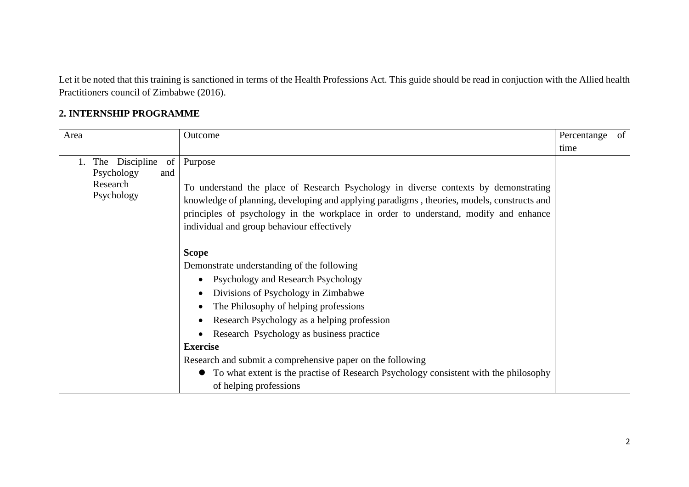Let it be noted that this training is sanctioned in terms of the Health Professions Act. This guide should be read in conjuction with the Allied health Practitioners council of Zimbabwe (2016).

# **2. INTERNSHIP PROGRAMME**

| Area                                                                | Outcome                                                                                                                                                                                                                                                                                                                            | Percentange of |  |
|---------------------------------------------------------------------|------------------------------------------------------------------------------------------------------------------------------------------------------------------------------------------------------------------------------------------------------------------------------------------------------------------------------------|----------------|--|
|                                                                     |                                                                                                                                                                                                                                                                                                                                    | time           |  |
| The Discipline<br>of<br>Psychology<br>and<br>Research<br>Psychology | Purpose<br>To understand the place of Research Psychology in diverse contexts by demonstrating<br>knowledge of planning, developing and applying paradigms, theories, models, constructs and<br>principles of psychology in the workplace in order to understand, modify and enhance<br>individual and group behaviour effectively |                |  |
|                                                                     | <b>Scope</b>                                                                                                                                                                                                                                                                                                                       |                |  |
|                                                                     | Demonstrate understanding of the following                                                                                                                                                                                                                                                                                         |                |  |
|                                                                     | Psychology and Research Psychology<br>$\bullet$                                                                                                                                                                                                                                                                                    |                |  |
|                                                                     | Divisions of Psychology in Zimbabwe                                                                                                                                                                                                                                                                                                |                |  |
|                                                                     | The Philosophy of helping professions                                                                                                                                                                                                                                                                                              |                |  |
|                                                                     | Research Psychology as a helping profession                                                                                                                                                                                                                                                                                        |                |  |
|                                                                     | Research Psychology as business practice<br>$\bullet$                                                                                                                                                                                                                                                                              |                |  |
|                                                                     | <b>Exercise</b>                                                                                                                                                                                                                                                                                                                    |                |  |
|                                                                     | Research and submit a comprehensive paper on the following                                                                                                                                                                                                                                                                         |                |  |
|                                                                     | To what extent is the practise of Research Psychology consistent with the philosophy<br>of helping professions                                                                                                                                                                                                                     |                |  |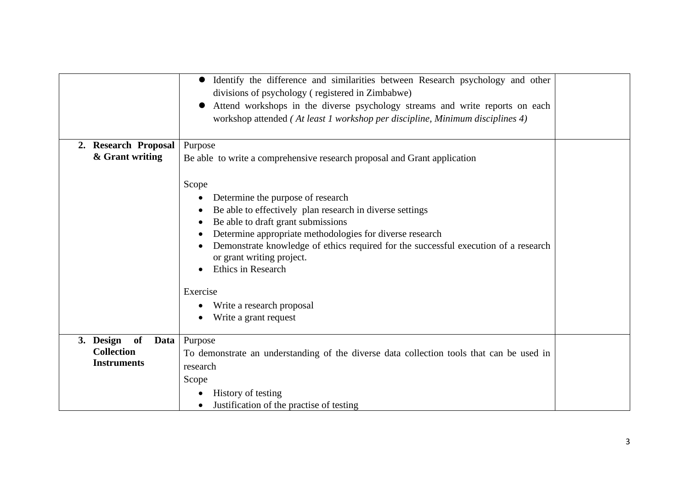|                         | Identify the difference and similarities between Research psychology and other<br>divisions of psychology (registered in Zimbabwe)<br>Attend workshops in the diverse psychology streams and write reports on each<br>workshop attended (At least 1 workshop per discipline, Minimum disciplines 4)                                                                                                                                         |  |
|-------------------------|---------------------------------------------------------------------------------------------------------------------------------------------------------------------------------------------------------------------------------------------------------------------------------------------------------------------------------------------------------------------------------------------------------------------------------------------|--|
| 2. Research Proposal    | Purpose                                                                                                                                                                                                                                                                                                                                                                                                                                     |  |
| & Grant writing         |                                                                                                                                                                                                                                                                                                                                                                                                                                             |  |
|                         | Be able to write a comprehensive research proposal and Grant application<br>Scope<br>Determine the purpose of research<br>$\bullet$<br>Be able to effectively plan research in diverse settings<br>Be able to draft grant submissions<br>Determine appropriate methodologies for diverse research<br>Demonstrate knowledge of ethics required for the successful execution of a research<br>or grant writing project.<br>Ethics in Research |  |
|                         | Exercise                                                                                                                                                                                                                                                                                                                                                                                                                                    |  |
|                         |                                                                                                                                                                                                                                                                                                                                                                                                                                             |  |
|                         | Write a research proposal                                                                                                                                                                                                                                                                                                                                                                                                                   |  |
|                         | Write a grant request                                                                                                                                                                                                                                                                                                                                                                                                                       |  |
|                         |                                                                                                                                                                                                                                                                                                                                                                                                                                             |  |
| 3. Design<br>of<br>Data | Purpose                                                                                                                                                                                                                                                                                                                                                                                                                                     |  |
| <b>Collection</b>       | To demonstrate an understanding of the diverse data collection tools that can be used in                                                                                                                                                                                                                                                                                                                                                    |  |
| <b>Instruments</b>      | research                                                                                                                                                                                                                                                                                                                                                                                                                                    |  |
|                         | Scope                                                                                                                                                                                                                                                                                                                                                                                                                                       |  |
|                         |                                                                                                                                                                                                                                                                                                                                                                                                                                             |  |
|                         | History of testing<br>٠                                                                                                                                                                                                                                                                                                                                                                                                                     |  |
|                         | Justification of the practise of testing                                                                                                                                                                                                                                                                                                                                                                                                    |  |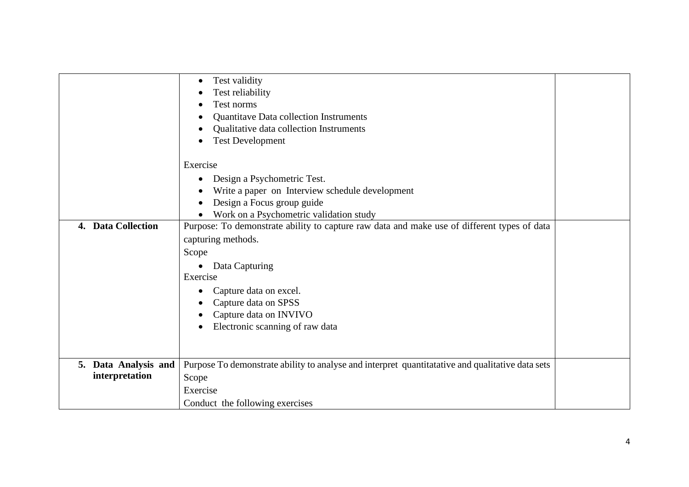|                      | Test validity<br>٠<br>Test reliability                                                           |  |
|----------------------|--------------------------------------------------------------------------------------------------|--|
|                      | Test norms                                                                                       |  |
|                      | Quantitave Data collection Instruments                                                           |  |
|                      |                                                                                                  |  |
|                      | Qualitative data collection Instruments                                                          |  |
|                      | <b>Test Development</b>                                                                          |  |
|                      | Exercise                                                                                         |  |
|                      | Design a Psychometric Test.<br>$\bullet$                                                         |  |
|                      | Write a paper on Interview schedule development                                                  |  |
|                      | Design a Focus group guide                                                                       |  |
|                      | Work on a Psychometric validation study                                                          |  |
| 4. Data Collection   | Purpose: To demonstrate ability to capture raw data and make use of different types of data      |  |
|                      | capturing methods.                                                                               |  |
|                      | Scope                                                                                            |  |
|                      |                                                                                                  |  |
|                      | Data Capturing<br>$\bullet$<br>Exercise                                                          |  |
|                      |                                                                                                  |  |
|                      | Capture data on excel.                                                                           |  |
|                      | Capture data on SPSS                                                                             |  |
|                      | Capture data on INVIVO                                                                           |  |
|                      | Electronic scanning of raw data                                                                  |  |
|                      |                                                                                                  |  |
|                      |                                                                                                  |  |
| 5. Data Analysis and | Purpose To demonstrate ability to analyse and interpret quantitatative and qualitative data sets |  |
| interpretation       | Scope                                                                                            |  |
|                      | Exercise                                                                                         |  |
|                      | Conduct the following exercises                                                                  |  |
|                      |                                                                                                  |  |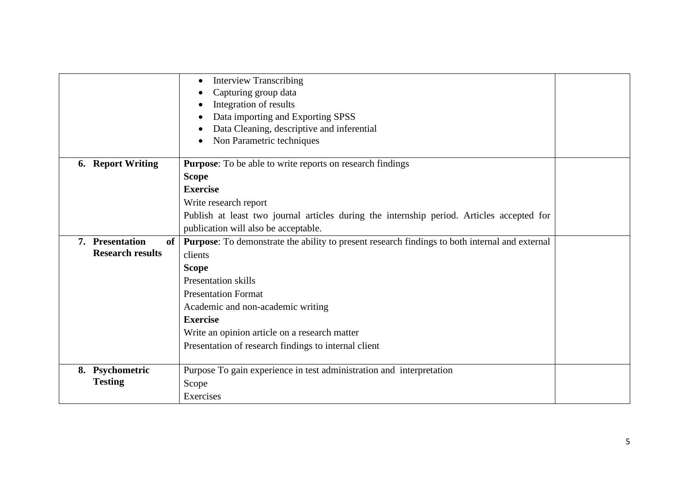|                              | <b>Interview Transcribing</b><br>٠                                                                    |  |
|------------------------------|-------------------------------------------------------------------------------------------------------|--|
|                              | Capturing group data                                                                                  |  |
|                              | Integration of results                                                                                |  |
|                              | Data importing and Exporting SPSS                                                                     |  |
|                              | Data Cleaning, descriptive and inferential                                                            |  |
|                              | Non Parametric techniques                                                                             |  |
|                              |                                                                                                       |  |
| <b>6.</b> Report Writing     | <b>Purpose:</b> To be able to write reports on research findings                                      |  |
|                              | <b>Scope</b>                                                                                          |  |
|                              | <b>Exercise</b>                                                                                       |  |
|                              | Write research report                                                                                 |  |
|                              | Publish at least two journal articles during the internship period. Articles accepted for             |  |
|                              | publication will also be acceptable.                                                                  |  |
| 7. Presentation<br><b>of</b> | <b>Purpose:</b> To demonstrate the ability to present research findings to both internal and external |  |
| <b>Research results</b>      | clients                                                                                               |  |
|                              | <b>Scope</b>                                                                                          |  |
|                              | <b>Presentation skills</b>                                                                            |  |
|                              | <b>Presentation Format</b>                                                                            |  |
|                              | Academic and non-academic writing                                                                     |  |
|                              | <b>Exercise</b>                                                                                       |  |
|                              | Write an opinion article on a research matter                                                         |  |
|                              | Presentation of research findings to internal client                                                  |  |
|                              |                                                                                                       |  |
| 8. Psychometric              | Purpose To gain experience in test administration and interpretation                                  |  |
| <b>Testing</b>               | Scope                                                                                                 |  |
|                              | Exercises                                                                                             |  |
|                              |                                                                                                       |  |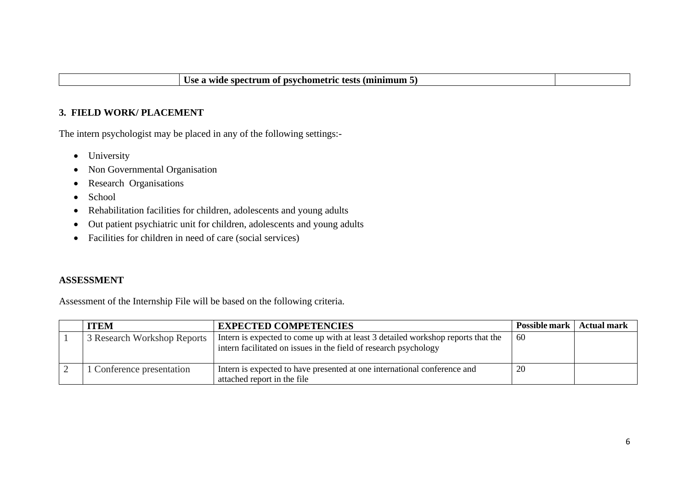## **3. FIELD WORK/ PLACEMENT**

The intern psychologist may be placed in any of the following settings:-

- University
- Non Governmental Organisation
- Research Organisations
- School
- Rehabilitation facilities for children, adolescents and young adults
- Out patient psychiatric unit for children, adolescents and young adults
- Facilities for children in need of care (social services)

#### **ASSESSMENT**

Assessment of the Internship File will be based on the following criteria.

| <b>ITEM</b>                 | <b>EXPECTED COMPETENCIES</b>                                                                                                                         | <b>Possible mark</b> | Actual mark |
|-----------------------------|------------------------------------------------------------------------------------------------------------------------------------------------------|----------------------|-------------|
| 3 Research Workshop Reports | Intern is expected to come up with at least 3 detailed workshop reports that the<br>intern facilitated on issues in the field of research psychology | 60                   |             |
| Conference presentation     | Intern is expected to have presented at one international conference and<br>attached report in the file                                              | 20                   |             |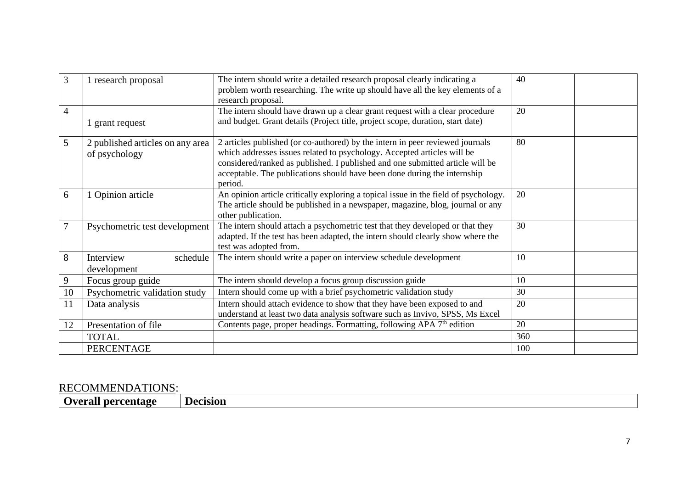| 3              | 1 research proposal              | The intern should write a detailed research proposal clearly indicating a           | 40  |
|----------------|----------------------------------|-------------------------------------------------------------------------------------|-----|
|                |                                  | problem worth researching. The write up should have all the key elements of a       |     |
|                |                                  | research proposal.                                                                  |     |
| 4              |                                  | The intern should have drawn up a clear grant request with a clear procedure        | 20  |
|                | grant request                    | and budget. Grant details (Project title, project scope, duration, start date)      |     |
|                |                                  |                                                                                     |     |
| 5              | 2 published articles on any area | 2 articles published (or co-authored) by the intern in peer reviewed journals       | 80  |
|                | of psychology                    | which addresses issues related to psychology. Accepted articles will be             |     |
|                |                                  | considered/ranked as published. I published and one submitted article will be       |     |
|                |                                  | acceptable. The publications should have been done during the internship            |     |
|                |                                  | period.                                                                             |     |
| 6              | Opinion article                  | An opinion article critically exploring a topical issue in the field of psychology. | 20  |
|                |                                  | The article should be published in a newspaper, magazine, blog, journal or any      |     |
|                |                                  | other publication.                                                                  |     |
| $\overline{7}$ | Psychometric test development    | The intern should attach a psychometric test that they developed or that they       | 30  |
|                |                                  | adapted. If the test has been adapted, the intern should clearly show where the     |     |
|                |                                  | test was adopted from.                                                              |     |
| 8              | Interview<br>schedule            | The intern should write a paper on interview schedule development                   | 10  |
|                | development                      |                                                                                     |     |
| 9              | Focus group guide                | The intern should develop a focus group discussion guide                            | 10  |
| 10             | Psychometric validation study    | Intern should come up with a brief psychometric validation study                    | 30  |
| 11             | Data analysis                    | Intern should attach evidence to show that they have been exposed to and            | 20  |
|                |                                  | understand at least two data analysis software such as Invivo, SPSS, Ms Excel       |     |
| 12             | Presentation of file             | Contents page, proper headings. Formatting, following APA 7 <sup>th</sup> edition   | 20  |
|                | <b>TOTAL</b>                     |                                                                                     | 360 |
|                | PERCENTAGE                       |                                                                                     | 100 |

## RECOMMENDATIONS:

**Overall percentage | Decision**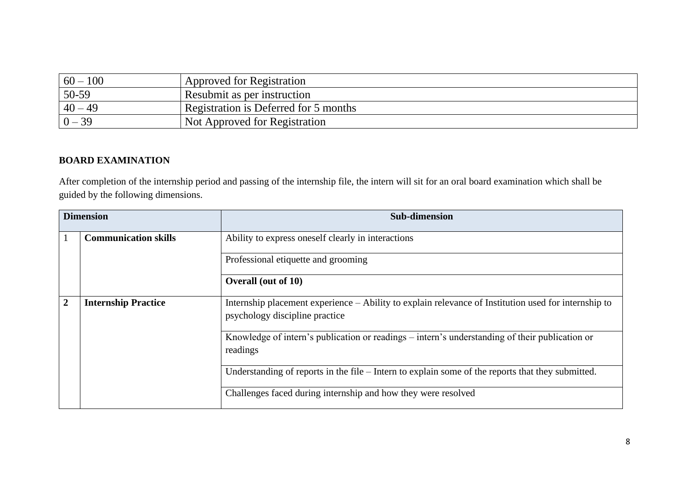| $60 - 100$ | Approved for Registration             |
|------------|---------------------------------------|
| 50-59      | Resubmit as per instruction           |
| $40 - 49$  | Registration is Deferred for 5 months |
| $0 - 39$   | Not Approved for Registration         |

## **BOARD EXAMINATION**

After completion of the internship period and passing of the internship file, the intern will sit for an oral board examination which shall be guided by the following dimensions.

|                                              | <b>Dimension</b>            | <b>Sub-dimension</b>                                                                                                                   |
|----------------------------------------------|-----------------------------|----------------------------------------------------------------------------------------------------------------------------------------|
|                                              | <b>Communication skills</b> | Ability to express oneself clearly in interactions                                                                                     |
|                                              |                             | Professional etiquette and grooming                                                                                                    |
|                                              |                             | <b>Overall (out of 10)</b>                                                                                                             |
| $\overline{2}$<br><b>Internship Practice</b> |                             | Internship placement experience – Ability to explain relevance of Institution used for internship to<br>psychology discipline practice |
|                                              |                             | Knowledge of intern's publication or readings – intern's understanding of their publication or<br>readings                             |
|                                              |                             | Understanding of reports in the file – Intern to explain some of the reports that they submitted.                                      |
|                                              |                             | Challenges faced during internship and how they were resolved                                                                          |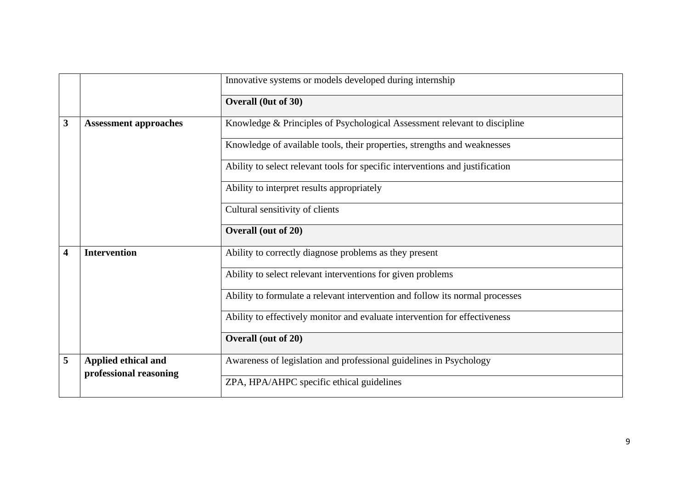|                         | Innovative systems or models developed during internship |                                                                               |
|-------------------------|----------------------------------------------------------|-------------------------------------------------------------------------------|
|                         |                                                          | Overall (0ut of 30)                                                           |
| 3                       | <b>Assessment approaches</b>                             | Knowledge & Principles of Psychological Assessment relevant to discipline     |
|                         |                                                          | Knowledge of available tools, their properties, strengths and weaknesses      |
|                         |                                                          | Ability to select relevant tools for specific interventions and justification |
|                         |                                                          | Ability to interpret results appropriately                                    |
|                         |                                                          | Cultural sensitivity of clients                                               |
|                         |                                                          | Overall (out of 20)                                                           |
| $\overline{\mathbf{4}}$ | <b>Intervention</b>                                      | Ability to correctly diagnose problems as they present                        |
|                         |                                                          | Ability to select relevant interventions for given problems                   |
|                         |                                                          | Ability to formulate a relevant intervention and follow its normal processes  |
|                         |                                                          | Ability to effectively monitor and evaluate intervention for effectiveness    |
|                         |                                                          | Overall (out of 20)                                                           |
| 5                       | Applied ethical and<br>professional reasoning            | Awareness of legislation and professional guidelines in Psychology            |
|                         |                                                          | ZPA, HPA/AHPC specific ethical guidelines                                     |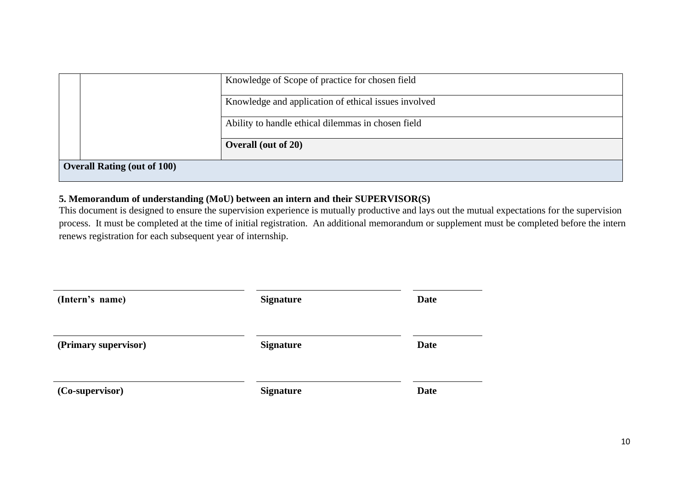|                                    | Knowledge of Scope of practice for chosen field      |
|------------------------------------|------------------------------------------------------|
|                                    | Knowledge and application of ethical issues involved |
|                                    | Ability to handle ethical dilemmas in chosen field   |
|                                    | <b>Overall (out of 20)</b>                           |
| <b>Overall Rating (out of 100)</b> |                                                      |

### **5. Memorandum of understanding (MoU) between an intern and their SUPERVISOR(S)**

This document is designed to ensure the supervision experience is mutually productive and lays out the mutual expectations for the supervision process. It must be completed at the time of initial registration. An additional memorandum or supplement must be completed before the intern renews registration for each subsequent year of internship.

| (Intern's name)      | <b>Signature</b> | <b>Date</b> |
|----------------------|------------------|-------------|
| (Primary supervisor) | <b>Signature</b> | Date        |
| (Co-supervisor)      | <b>Signature</b> | Date        |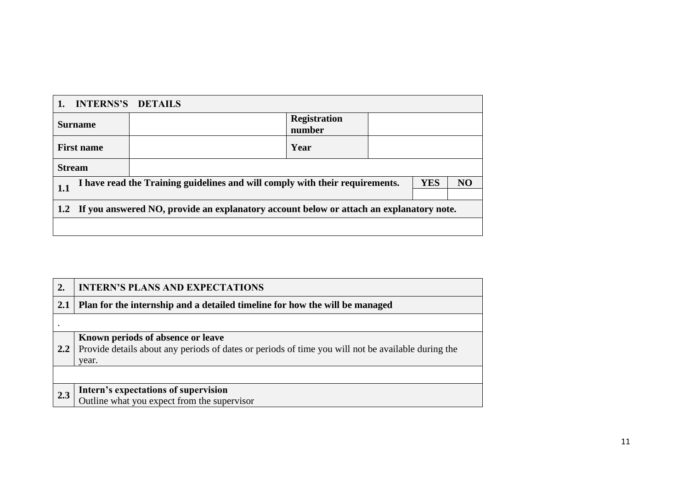| <b>INTERNS'S DETAILS</b>                                                                          |  |                               |  |  |                |
|---------------------------------------------------------------------------------------------------|--|-------------------------------|--|--|----------------|
| <b>Surname</b>                                                                                    |  | <b>Registration</b><br>number |  |  |                |
| <b>First name</b>                                                                                 |  | Year                          |  |  |                |
| <b>Stream</b>                                                                                     |  |                               |  |  |                |
| <b>YES</b><br>I have read the Training guidelines and will comply with their requirements.<br>1.1 |  |                               |  |  | N <sub>O</sub> |
| 1.2 If you answered NO, provide an explanatory account below or attach an explanatory note.       |  |                               |  |  |                |
|                                                                                                   |  |                               |  |  |                |

| 2.        | <b>INTERN'S PLANS AND EXPECTATIONS</b>                                                                                                           |
|-----------|--------------------------------------------------------------------------------------------------------------------------------------------------|
| 2.1       | Plan for the internship and a detailed timeline for how the will be managed                                                                      |
| $\bullet$ |                                                                                                                                                  |
| 2.2       | Known periods of absence or leave<br>Provide details about any periods of dates or periods of time you will not be available during the<br>year. |
|           |                                                                                                                                                  |
| 2.3       | Intern's expectations of supervision<br>Outline what you expect from the supervisor                                                              |